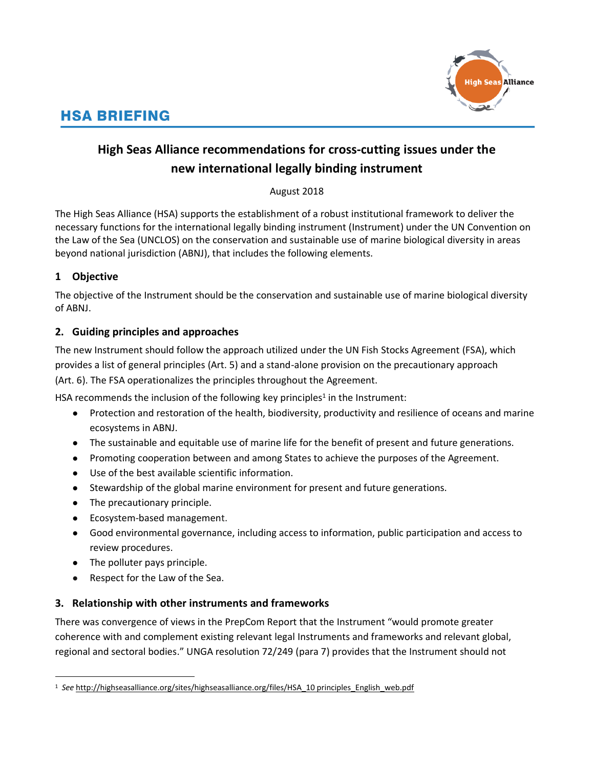

# **HSA BRIEFING**

# **High Seas Alliance recommendations for cross-cutting issues under the new international legally binding instrument**

# August 2018

The High Seas Alliance (HSA) supports the establishment of a robust institutional framework to deliver the necessary functions for the international legally binding instrument (Instrument) under the UN Convention on the Law of the Sea (UNCLOS) on the conservation and sustainable use of marine biological diversity in areas beyond national jurisdiction (ABNJ), that includes the following elements.

# **1 Objective**

The objective of the Instrument should be the conservation and sustainable use of marine biological diversity of ABNJ.

# **2. Guiding principles and approaches**

The new Instrument should follow the approach utilized under the UN Fish Stocks Agreement (FSA), which provides a list of general principles (Art. 5) and a stand-alone provision on the precautionary approach (Art. 6). The FSA operationalizes the principles throughout the Agreement.

HSA recommends the inclusion of the following key principles<sup>1</sup> in the Instrument:

- Protection and restoration of the health, biodiversity, productivity and resilience of oceans and marine ecosystems in ABNJ.
- The sustainable and equitable use of marine life for the benefit of present and future generations.
- Promoting cooperation between and among States to achieve the purposes of the Agreement.
- Use of the best available scientific information.
- Stewardship of the global marine environment for present and future generations.
- The precautionary principle.
- Ecosystem-based management.
- Good environmental governance, including access to information, public participation and access to review procedures.
- The polluter pays principle.

 $\overline{a}$ 

● Respect for the Law of the Sea.

# **3. Relationship with other instruments and frameworks**

There was convergence of views in the PrepCom Report that the Instrument "would promote greater coherence with and complement existing relevant legal Instruments and frameworks and relevant global, regional and sectoral bodies." UNGA resolution 72/249 (para 7) provides that the Instrument should not

<sup>&</sup>lt;sup>1</sup> See [http://highseasalliance.org/sites/highseasalliance.org/files/HSA\\_10 principles\\_English\\_web.pdf](http://highseasalliance.org/sites/highseasalliance.org/files/HSA_10%20principles_English_web.pdf)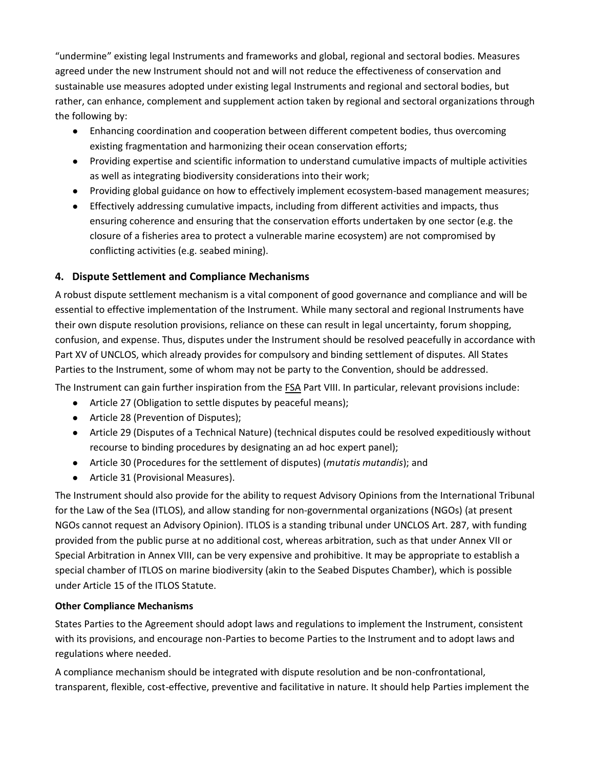"undermine" existing legal Instruments and frameworks and global, regional and sectoral bodies. Measures agreed under the new Instrument should not and will not reduce the effectiveness of conservation and sustainable use measures adopted under existing legal Instruments and regional and sectoral bodies, but rather, can enhance, complement and supplement action taken by regional and sectoral organizations through the following by:

- Enhancing coordination and cooperation between different competent bodies, thus overcoming existing fragmentation and harmonizing their ocean conservation efforts;
- Providing expertise and scientific information to understand cumulative impacts of multiple activities as well as integrating biodiversity considerations into their work;
- Providing global guidance on how to effectively implement ecosystem-based management measures;
- Effectively addressing cumulative impacts, including from different activities and impacts, thus ensuring coherence and ensuring that the conservation efforts undertaken by one sector (e.g. the closure of a fisheries area to protect a vulnerable marine ecosystem) are not compromised by conflicting activities (e.g. seabed mining).

# **4. Dispute Settlement and Compliance Mechanisms**

A robust dispute settlement mechanism is a vital component of good governance and compliance and will be essential to effective implementation of the Instrument. While many sectoral and regional Instruments have their own dispute resolution provisions, reliance on these can result in legal uncertainty, forum shopping, confusion, and expense. Thus, disputes under the Instrument should be resolved peacefully in accordance with Part XV of UNCLOS, which already provides for compulsory and binding settlement of disputes. All States Parties to the Instrument, some of whom may not be party to the Convention, should be addressed.

The Instrument can gain further inspiration from the **FSA Part VIII. In particular, relevant provisions include:** 

- Article 27 (Obligation to settle disputes by peaceful means);
- Article 28 (Prevention of Disputes);
- Article 29 (Disputes of a Technical Nature) (technical disputes could be resolved expeditiously without recourse to binding procedures by designating an ad hoc expert panel);
- Article 30 (Procedures for the settlement of disputes) (*mutatis mutandis*); and
- Article 31 (Provisional Measures).

The Instrument should also provide for the ability to request Advisory Opinions from the International Tribunal for the Law of the Sea (ITLOS), and allow standing for non-governmental organizations (NGOs) (at present NGOs cannot request an Advisory Opinion). ITLOS is a standing tribunal under UNCLOS Art. 287, with funding provided from the public purse at no additional cost, whereas arbitration, such as that under Annex VII or Special Arbitration in Annex VIII, can be very expensive and prohibitive. It may be appropriate to establish a special chamber of ITLOS on marine biodiversity (akin to the Seabed Disputes Chamber), which is possible under Article 15 of the ITLOS Statute.

#### **Other Compliance Mechanisms**

States Parties to the Agreement should adopt laws and regulations to implement the Instrument, consistent with its provisions, and encourage non-Parties to become Parties to the Instrument and to adopt laws and regulations where needed.

A compliance mechanism should be integrated with dispute resolution and be non-confrontational, transparent, flexible, cost-effective, preventive and facilitative in nature. It should help Parties implement the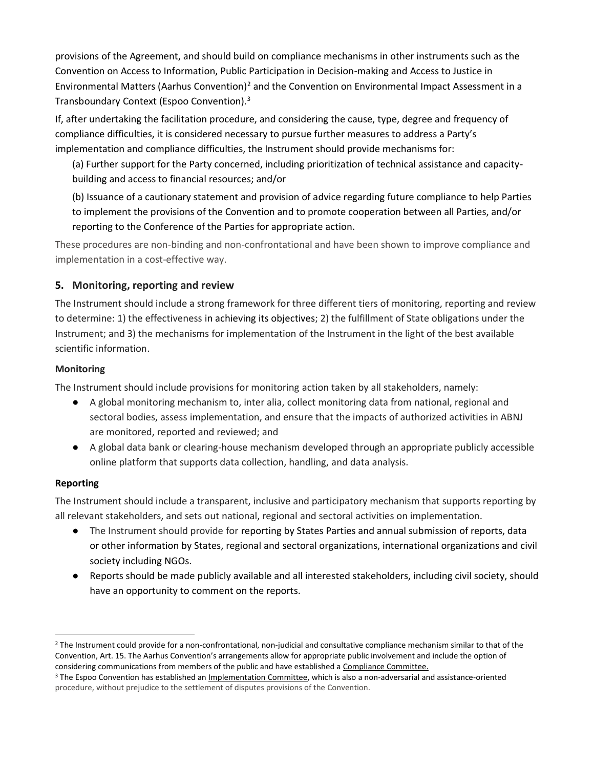provisions of the Agreement, and should build on compliance mechanisms in other instruments such as the Convention on Access to Information, Public Participation in Decision-making and Access to Justice in Environmental Matters (Aarhus Convention)<sup>2</sup> and the Convention on Environmental Impact Assessment in a Transboundary Context (Espoo Convention).<sup>3</sup>

If, after undertaking the facilitation procedure, and considering the cause, type, degree and frequency of compliance difficulties, it is considered necessary to pursue further measures to address a Party's implementation and compliance difficulties, the Instrument should provide mechanisms for:

(a) Further support for the Party concerned, including prioritization of technical assistance and capacitybuilding and access to financial resources; and/or

(b) Issuance of a cautionary statement and provision of advice regarding future compliance to help Parties to implement the provisions of the Convention and to promote cooperation between all Parties, and/or reporting to the Conference of the Parties for appropriate action.

These procedures are non-binding and non-confrontational and have been shown to improve compliance and implementation in a cost-effective way.

### **5. Monitoring, reporting and review**

The Instrument should include a strong framework for three different tiers of monitoring, reporting and review to determine: 1) the effectiveness in achieving its objectives; 2) the fulfillment of State obligations under the Instrument; and 3) the mechanisms for implementation of the Instrument in the light of the best available scientific information.

#### **Monitoring**

The Instrument should include provisions for monitoring action taken by all stakeholders, namely:

- A global monitoring mechanism to, inter alia, collect monitoring data from national, regional and sectoral bodies, assess implementation, and ensure that the impacts of authorized activities in ABNJ are monitored, reported and reviewed; and
- A global data bank or clearing-house mechanism developed through an appropriate publicly accessible online platform that supports data collection, handling, and data analysis.

#### **Reporting**

 $\overline{a}$ 

The Instrument should include a transparent, inclusive and participatory mechanism that supports reporting by all relevant stakeholders, and sets out national, regional and sectoral activities on implementation.

- The Instrument should provide for reporting by States Parties and annual submission of reports, data or other information by States, regional and sectoral organizations, international organizations and civil society including NGOs.
- Reports should be made publicly available and all interested stakeholders, including civil society, should have an opportunity to comment on the reports.

 $2$  The Instrument could provide for a non-confrontational, non-judicial and consultative compliance mechanism similar to that of the Convention, Art. 15. The Aarhus Convention's arrangements allow for appropriate public involvement and include the option of considering communications from members of the public and have established a Compliance Committee.

<sup>&</sup>lt;sup>3</sup> The Espoo Convention has established an *Implementation Committee*, which is also a non-adversarial and assistance-oriented procedure, without prejudice to the settlement of disputes provisions of the Convention.